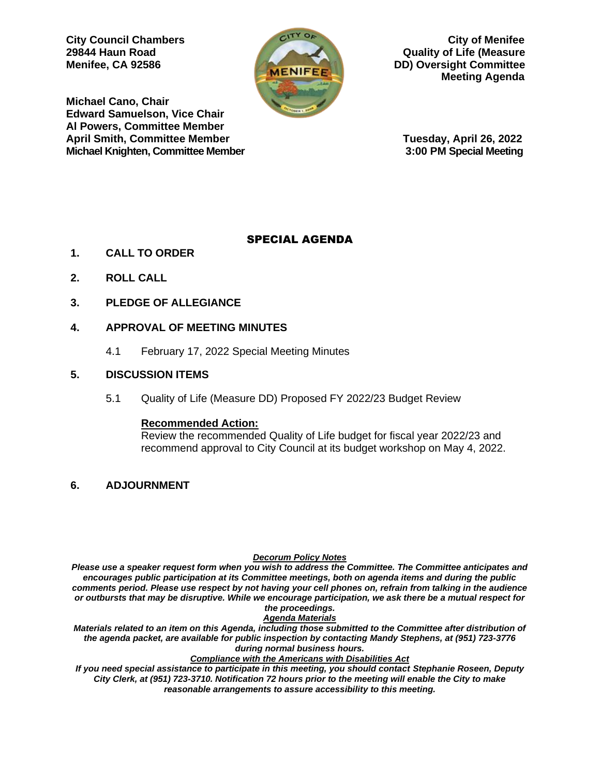

**City Council Chambers City of Menifee 29844 Haun Road Quality of Life (Measure Menifee, CA 92586 DD**) Oversight Committee  **Meeting Agenda** 

**Michael Cano, Chair Edward Samuelson, Vice Chair Al Powers, Committee Member April Smith, Committee Member Tuesday, April 26, 2022 Michael Knighten, Committee Member 3:00 PM Special Meeting**

## SPECIAL AGENDA

- **1. CALL TO ORDER**
- **2. ROLL CALL**
- **3. PLEDGE OF ALLEGIANCE**

## **4. APPROVAL OF MEETING MINUTES**

4.1 February 17, 2022 Special Meeting Minutes

### **5. DISCUSSION ITEMS**

5.1 Quality of Life (Measure DD) Proposed FY 2022/23 Budget Review

### **Recommended Action:**

Review the recommended Quality of Life budget for fiscal year 2022/23 and recommend approval to City Council at its budget workshop on May 4, 2022.

**6. ADJOURNMENT**

#### *Decorum Policy Notes*

*Please use a speaker request form when you wish to address the Committee. The Committee anticipates and encourages public participation at its Committee meetings, both on agenda items and during the public comments period. Please use respect by not having your cell phones on, refrain from talking in the audience or outbursts that may be disruptive. While we encourage participation, we ask there be a mutual respect for the proceedings.*

*Agenda Materials*

*Materials related to an item on this Agenda, including those submitted to the Committee after distribution of the agenda packet, are available for public inspection by contacting Mandy Stephens, at (951) 723-3776 during normal business hours.* 

#### *Compliance with the Americans with Disabilities Act*

*If you need special assistance to participate in this meeting, you should contact Stephanie Roseen, Deputy City Clerk, at (951) 723-3710. Notification 72 hours prior to the meeting will enable the City to make reasonable arrangements to assure accessibility to this meeting.*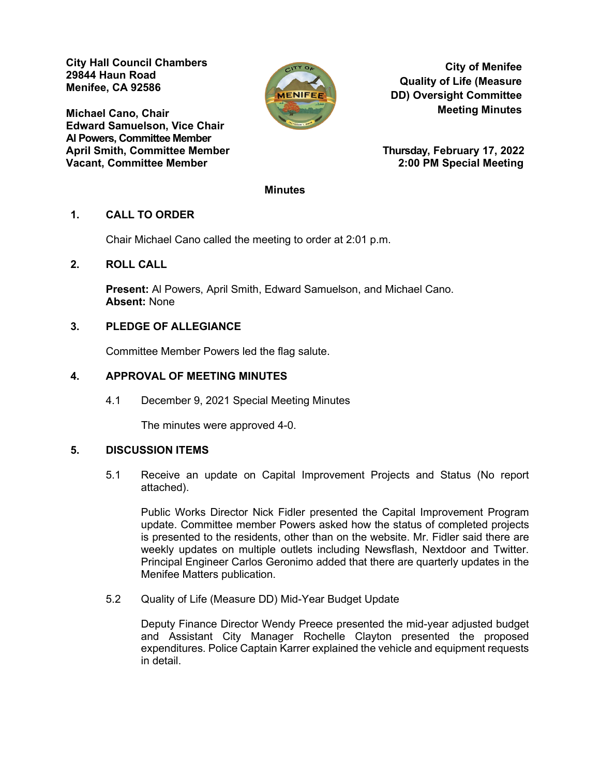**City Hall Council Chambers 29844 Haun Road Menifee, CA 92586** 

**Michael Cano, Chair Edward Samuelson, Vice Chair Al Powers, Committee Member April Smith, Committee Member Thursday, February 17, 2022 Vacant, Committee Member 2:00 PM Special Meeting**



**City of Menifee Quality of Life (Measure DD) Oversight Committee Meeting Minutes**

### **Minutes**

### **1. CALL TO ORDER**

Chair Michael Cano called the meeting to order at 2:01 p.m.

## **2. ROLL CALL**

**Present:** Al Powers, April Smith, Edward Samuelson, and Michael Cano. **Absent:** None

## **3. PLEDGE OF ALLEGIANCE**

Committee Member Powers led the flag salute.

### **4. APPROVAL OF MEETING MINUTES**

4.1 December 9, 2021 Special Meeting Minutes

The minutes were approved 4-0.

### **5. DISCUSSION ITEMS**

5.1 Receive an update on Capital Improvement Projects and Status (No report attached).

Public Works Director Nick Fidler presented the Capital Improvement Program update. Committee member Powers asked how the status of completed projects is presented to the residents, other than on the website. Mr. Fidler said there are weekly updates on multiple outlets including Newsflash, Nextdoor and Twitter. Principal Engineer Carlos Geronimo added that there are quarterly updates in the Menifee Matters publication.

5.2 Quality of Life (Measure DD) Mid-Year Budget Update

Deputy Finance Director Wendy Preece presented the mid-year adjusted budget and Assistant City Manager Rochelle Clayton presented the proposed expenditures. Police Captain Karrer explained the vehicle and equipment requests in detail.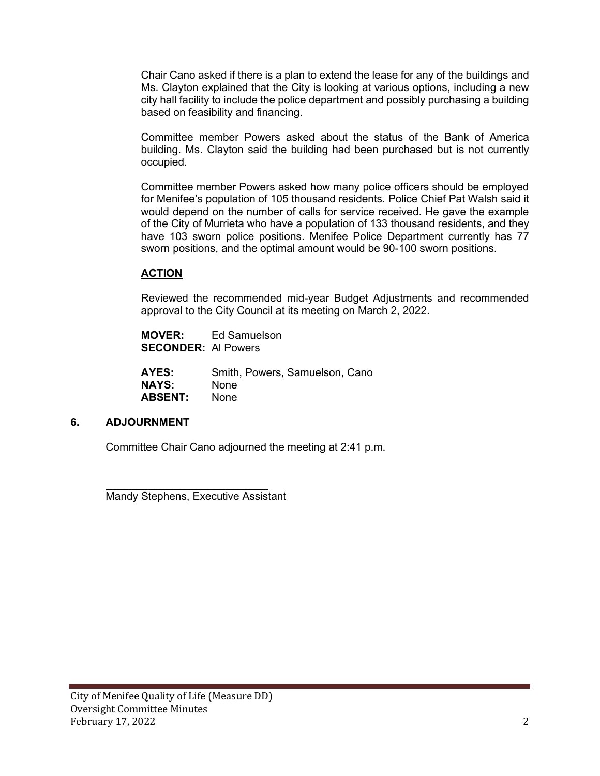Chair Cano asked if there is a plan to extend the lease for any of the buildings and Ms. Clayton explained that the City is looking at various options, including a new city hall facility to include the police department and possibly purchasing a building based on feasibility and financing.

Committee member Powers asked about the status of the Bank of America building. Ms. Clayton said the building had been purchased but is not currently occupied.

Committee member Powers asked how many police officers should be employed for Menifee's population of 105 thousand residents. Police Chief Pat Walsh said it would depend on the number of calls for service received. He gave the example of the City of Murrieta who have a population of 133 thousand residents, and they have 103 sworn police positions. Menifee Police Department currently has 77 sworn positions, and the optimal amount would be 90-100 sworn positions.

## **ACTION**

Reviewed the recommended mid-year Budget Adjustments and recommended approval to the City Council at its meeting on March 2, 2022.

| <b>MOVER:</b>              | Ed Samuelson |
|----------------------------|--------------|
| <b>SECONDER: Al Powers</b> |              |

| AYES:          | Smith, Powers, Samuelson, Cano |
|----------------|--------------------------------|
| <b>NAYS:</b>   | <b>None</b>                    |
| <b>ABSENT:</b> | <b>None</b>                    |

### **6. ADJOURNMENT**

Committee Chair Cano adjourned the meeting at 2:41 p.m.

 $\mathcal{L}=\frac{1}{2}\sum_{i=1}^{n} \frac{1}{2} \sum_{i=1}^{n} \frac{1}{2} \sum_{i=1}^{n} \frac{1}{2} \sum_{i=1}^{n} \frac{1}{2} \sum_{i=1}^{n} \frac{1}{2} \sum_{i=1}^{n} \frac{1}{2} \sum_{i=1}^{n} \frac{1}{2} \sum_{i=1}^{n} \frac{1}{2} \sum_{i=1}^{n} \frac{1}{2} \sum_{i=1}^{n} \frac{1}{2} \sum_{i=1}^{n} \frac{1}{2} \sum_{i=1}^{n} \frac{1}{2} \sum_{i$ Mandy Stephens, Executive Assistant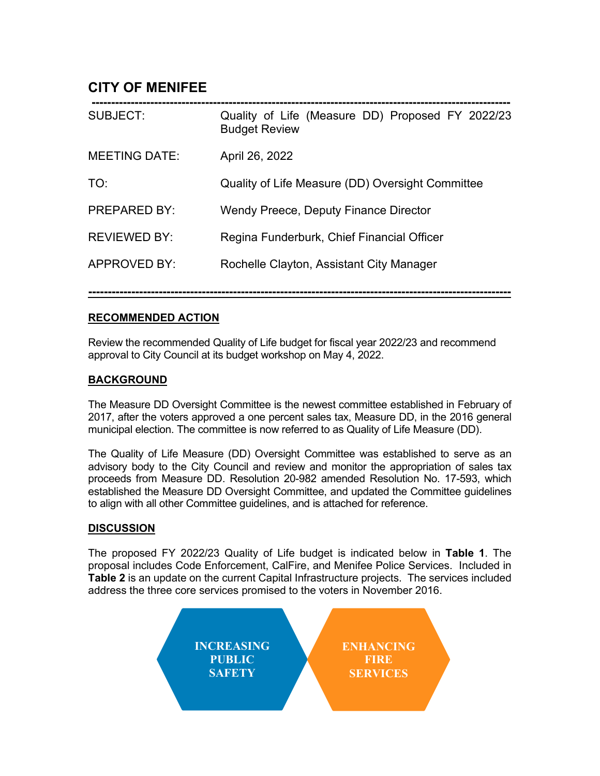# **CITY OF MENIFEE**

| <b>SUBJECT:</b>      | Quality of Life (Measure DD) Proposed FY 2022/23<br><b>Budget Review</b> |
|----------------------|--------------------------------------------------------------------------|
| <b>MEETING DATE:</b> | April 26, 2022                                                           |
| TO:                  | Quality of Life Measure (DD) Oversight Committee                         |
| <b>PREPARED BY:</b>  | Wendy Preece, Deputy Finance Director                                    |
| <b>REVIEWED BY:</b>  | Regina Funderburk, Chief Financial Officer                               |
| <b>APPROVED BY:</b>  | Rochelle Clayton, Assistant City Manager                                 |
|                      |                                                                          |

## **RECOMMENDED ACTION**

Review the recommended Quality of Life budget for fiscal year 2022/23 and recommend approval to City Council at its budget workshop on May 4, 2022.

**------------------------------------------------------------------------------------------------------------**

## **BACKGROUND**

The Measure DD Oversight Committee is the newest committee established in February of 2017, after the voters approved a one percent sales tax, Measure DD, in the 2016 general municipal election. The committee is now referred to as Quality of Life Measure (DD).

The Quality of Life Measure (DD) Oversight Committee was established to serve as an advisory body to the City Council and review and monitor the appropriation of sales tax proceeds from Measure DD. Resolution 20-982 amended Resolution No. 17-593, which established the Measure DD Oversight Committee, and updated the Committee guidelines to align with all other Committee guidelines, and is attached for reference.

## **DISCUSSION**

The proposed FY 2022/23 Quality of Life budget is indicated below in **Table 1**. The proposal includes Code Enforcement, CalFire, and Menifee Police Services. Included in **Table 2** is an update on the current Capital Infrastructure projects. The services included address the three core services promised to the voters in November 2016.

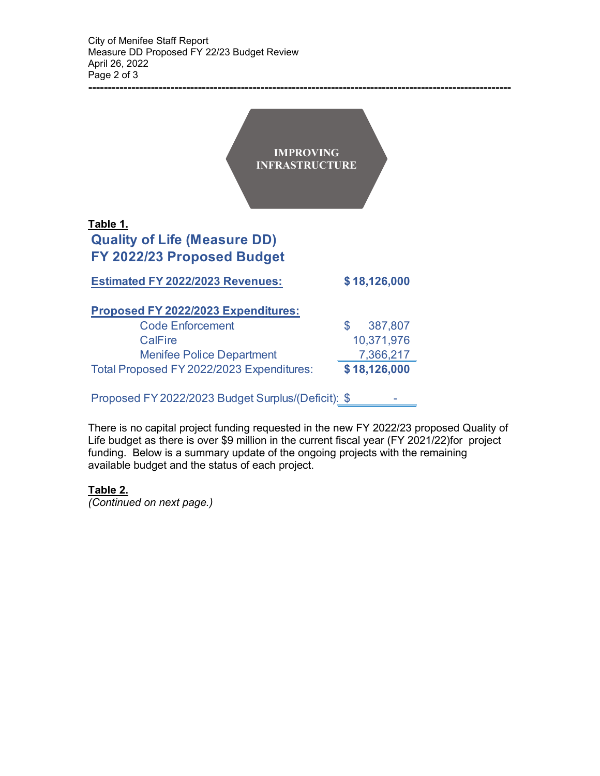|                                                 | <b>IMPROVING</b><br><b>INFRASTRUCTURE</b> |
|-------------------------------------------------|-------------------------------------------|
| Table 1.<br><b>Quality of Life (Measure DD)</b> |                                           |
| FY 2022/23 Proposed Budget                      |                                           |
| <b>Estimated FY 2022/2023 Revenues:</b>         | \$18,126,000                              |
| Proposed FY 2022/2023 Expenditures:             |                                           |
| <b>Code Enforcement</b>                         | \$<br>387,807                             |
| <b>CalFire</b>                                  | 10,371,976                                |
| <b>Menifee Police Department</b>                | 7,366,217                                 |
| Total Proposed FY 2022/2023 Expenditures:       | \$18,126,000                              |

Proposed FY 2022/2023 Budget Surplus/(Deficit): \$ -

There is no capital project funding requested in the new FY 2022/23 proposed Quality of Life budget as there is over \$9 million in the current fiscal year (FY 2021/22)for project funding. Below is a summary update of the ongoing projects with the remaining available budget and the status of each project.

**------------------------------------------------------------------------------------------------------------**

## **Table 2.**

*(Continued on next page.)*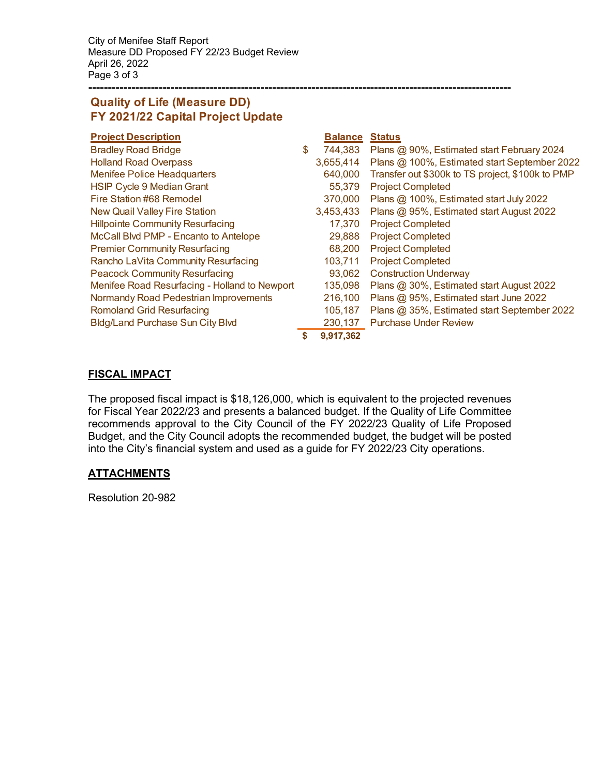City of Menifee Staff Report Measure DD Proposed FY 22/23 Budget Review April 26, 2022 Page 3 of 3

## **Quality of Life (Measure DD) FY 2021/22 Capital Project Update**

| <b>Project Description</b>                    | <b>Balance</b>  | <b>Status</b>                                    |
|-----------------------------------------------|-----------------|--------------------------------------------------|
| <b>Bradley Road Bridge</b>                    | \$<br>744,383   | Plans @ 90%, Estimated start February 2024       |
| <b>Holland Road Overpass</b>                  | 3,655,414       | Plans @ 100%, Estimated start September 2022     |
| <b>Menifee Police Headquarters</b>            | 640,000         | Transfer out \$300k to TS project, \$100k to PMP |
| <b>HSIP Cycle 9 Median Grant</b>              | 55,379          | <b>Project Completed</b>                         |
| Fire Station #68 Remodel                      | 370,000         | Plans @ 100%, Estimated start July 2022          |
| <b>New Quail Valley Fire Station</b>          | 3,453,433       | Plans @ 95%, Estimated start August 2022         |
| <b>Hillpointe Community Resurfacing</b>       | 17,370          | <b>Project Completed</b>                         |
| McCall Blvd PMP - Encanto to Antelope         | 29,888          | <b>Project Completed</b>                         |
| <b>Premier Community Resurfacing</b>          | 68,200          | <b>Project Completed</b>                         |
| Rancho LaVita Community Resurfacing           | 103,711         | <b>Project Completed</b>                         |
| <b>Peacock Community Resurfacing</b>          | 93,062          | <b>Construction Underway</b>                     |
| Menifee Road Resurfacing - Holland to Newport | 135,098         | Plans @ 30%, Estimated start August 2022         |
| Normandy Road Pedestrian Improvements         | 216,100         | Plans @ 95%, Estimated start June 2022           |
| <b>Romoland Grid Resurfacing</b>              | 105,187         | Plans @ 35%, Estimated start September 2022      |
| <b>Bldg/Land Purchase Sun City Blvd</b>       | 230,137         | <b>Purchase Under Review</b>                     |
|                                               | \$<br>9,917,362 |                                                  |

**------------------------------------------------------------------------------------------------------------**

## **FISCAL IMPACT**

The proposed fiscal impact is \$18,126,000, which is equivalent to the projected revenues for Fiscal Year 2022/23 and presents a balanced budget. If the Quality of Life Committee recommends approval to the City Council of the FY 2022/23 Quality of Life Proposed Budget, and the City Council adopts the recommended budget, the budget will be posted into the City's financial system and used as a guide for FY 2022/23 City operations.

## **ATTACHMENTS**

Resolution 20-982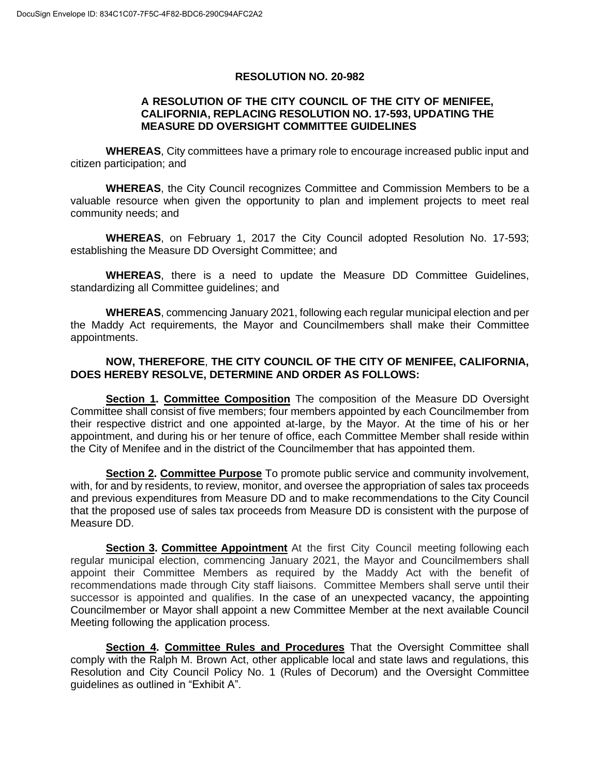#### **RESOLUTION NO. 20-982**

### **A RESOLUTION OF THE CITY COUNCIL OF THE CITY OF MENIFEE, CALIFORNIA, REPLACING RESOLUTION NO. 17-593, UPDATING THE MEASURE DD OVERSIGHT COMMITTEE GUIDELINES**

**WHEREAS**, City committees have a primary role to encourage increased public input and citizen participation; and

**WHEREAS**, the City Council recognizes Committee and Commission Members to be a valuable resource when given the opportunity to plan and implement projects to meet real community needs; and

**WHEREAS**, on February 1, 2017 the City Council adopted Resolution No. 17-593; establishing the Measure DD Oversight Committee; and

**WHEREAS**, there is a need to update the Measure DD Committee Guidelines, standardizing all Committee guidelines; and

**WHEREAS**, commencing January 2021, following each regular municipal election and per the Maddy Act requirements, the Mayor and Councilmembers shall make their Committee appointments.

### **NOW, THEREFORE**, **THE CITY COUNCIL OF THE CITY OF MENIFEE, CALIFORNIA, DOES HEREBY RESOLVE, DETERMINE AND ORDER AS FOLLOWS:**

**Section 1. Committee Composition** The composition of the Measure DD Oversight Committee shall consist of five members; four members appointed by each Councilmember from their respective district and one appointed at-large, by the Mayor. At the time of his or her appointment, and during his or her tenure of office, each Committee Member shall reside within the City of Menifee and in the district of the Councilmember that has appointed them.

**Section 2. Committee Purpose** To promote public service and community involvement, with, for and by residents, to review, monitor, and oversee the appropriation of sales tax proceeds and previous expenditures from Measure DD and to make recommendations to the City Council that the proposed use of sales tax proceeds from Measure DD is consistent with the purpose of Measure DD.

**Section 3. Committee Appointment** At the first City Council meeting following each regular municipal election, commencing January 2021, the Mayor and Councilmembers shall appoint their Committee Members as required by the Maddy Act with the benefit of recommendations made through City staff liaisons. Committee Members shall serve until their successor is appointed and qualifies. In the case of an unexpected vacancy, the appointing Councilmember or Mayor shall appoint a new Committee Member at the next available Council Meeting following the application process.

**Section 4. Committee Rules and Procedures** That the Oversight Committee shall comply with the Ralph M. Brown Act, other applicable local and state laws and regulations, this Resolution and City Council Policy No. 1 (Rules of Decorum) and the Oversight Committee guidelines as outlined in "Exhibit A".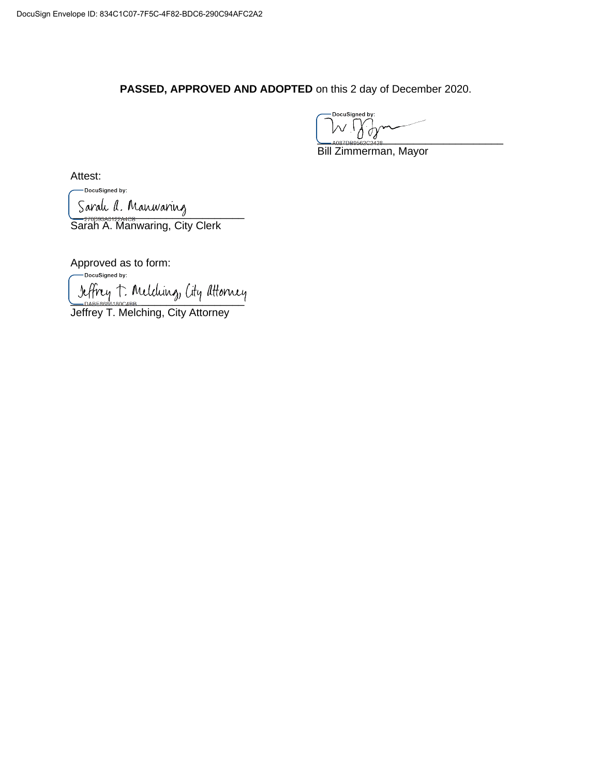**PASSED, APPROVED AND ADOPTED** on this 2 day of December 2020.

DocuSigned by:  $U^{\vee}$ <sub>2</sub>

Bill Zimmerman, Mayor

Attest:

DocuSigned by: Sarah A. Manwaring

Sarah A. Manwaring, City Clerk

Approved as to form:<br>  $\sqrt{\phantom{a}}$ DocuSigned by: Jeffrey T. Melding, City Attorney

Jeffrey T. Melching, City Attorney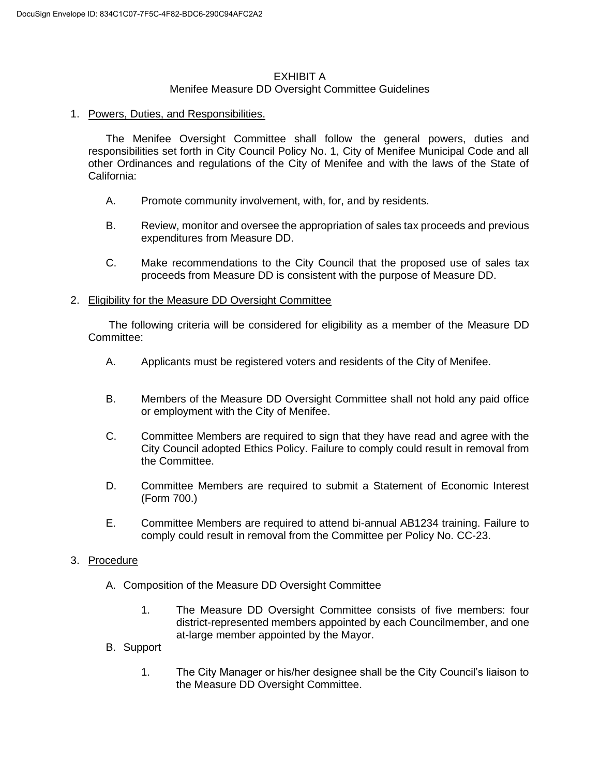## EXHIBIT A

### Menifee Measure DD Oversight Committee Guidelines

### 1. Powers, Duties, and Responsibilities.

The Menifee Oversight Committee shall follow the general powers, duties and responsibilities set forth in City Council Policy No. 1, City of Menifee Municipal Code and all other Ordinances and regulations of the City of Menifee and with the laws of the State of California:

- A. Promote community involvement, with, for, and by residents.
- B. Review, monitor and oversee the appropriation of sales tax proceeds and previous expenditures from Measure DD.
- C. Make recommendations to the City Council that the proposed use of sales tax proceeds from Measure DD is consistent with the purpose of Measure DD.

### 2. Eligibility for the Measure DD Oversight Committee

The following criteria will be considered for eligibility as a member of the Measure DD Committee:

- A. Applicants must be registered voters and residents of the City of Menifee.
- B. Members of the Measure DD Oversight Committee shall not hold any paid office or employment with the City of Menifee.
- C. Committee Members are required to sign that they have read and agree with the City Council adopted Ethics Policy. Failure to comply could result in removal from the Committee.
- D. Committee Members are required to submit a Statement of Economic Interest (Form 700.)
- E. Committee Members are required to attend bi-annual AB1234 training. Failure to comply could result in removal from the Committee per Policy No. CC-23.

### 3. Procedure

- A. Composition of the Measure DD Oversight Committee
	- 1. The Measure DD Oversight Committee consists of five members: four district-represented members appointed by each Councilmember, and one at-large member appointed by the Mayor.
- B. Support
	- 1. The City Manager or his/her designee shall be the City Council's liaison to the Measure DD Oversight Committee.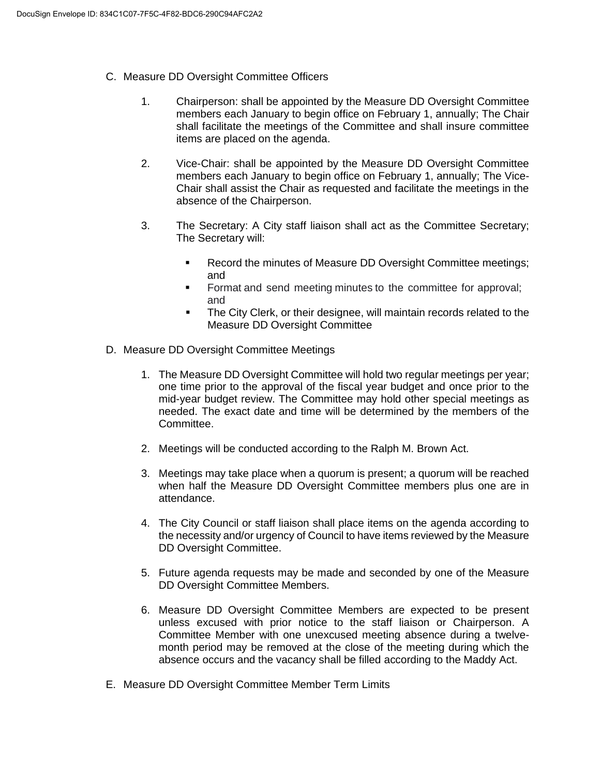- C. Measure DD Oversight Committee Officers
	- 1. Chairperson: shall be appointed by the Measure DD Oversight Committee members each January to begin office on February 1, annually; The Chair shall facilitate the meetings of the Committee and shall insure committee items are placed on the agenda.
	- 2. Vice-Chair: shall be appointed by the Measure DD Oversight Committee members each January to begin office on February 1, annually; The Vice-Chair shall assist the Chair as requested and facilitate the meetings in the absence of the Chairperson.
	- 3. The Secretary: A City staff liaison shall act as the Committee Secretary; The Secretary will:
		- Record the minutes of Measure DD Oversight Committee meetings; and
		- **•** Format and send meeting minutes to the committee for approval; and
		- **•** The City Clerk, or their designee, will maintain records related to the Measure DD Oversight Committee
- D. Measure DD Oversight Committee Meetings
	- 1. The Measure DD Oversight Committee will hold two regular meetings per year; one time prior to the approval of the fiscal year budget and once prior to the mid-year budget review. The Committee may hold other special meetings as needed. The exact date and time will be determined by the members of the Committee.
	- 2. Meetings will be conducted according to the Ralph M. Brown Act.
	- 3. Meetings may take place when a quorum is present; a quorum will be reached when half the Measure DD Oversight Committee members plus one are in attendance.
	- 4. The City Council or staff liaison shall place items on the agenda according to the necessity and/or urgency of Council to have items reviewed by the Measure DD Oversight Committee.
	- 5. Future agenda requests may be made and seconded by one of the Measure DD Oversight Committee Members.
	- 6. Measure DD Oversight Committee Members are expected to be present unless excused with prior notice to the staff liaison or Chairperson. A Committee Member with one unexcused meeting absence during a twelvemonth period may be removed at the close of the meeting during which the absence occurs and the vacancy shall be filled according to the Maddy Act.
- E. Measure DD Oversight Committee Member Term Limits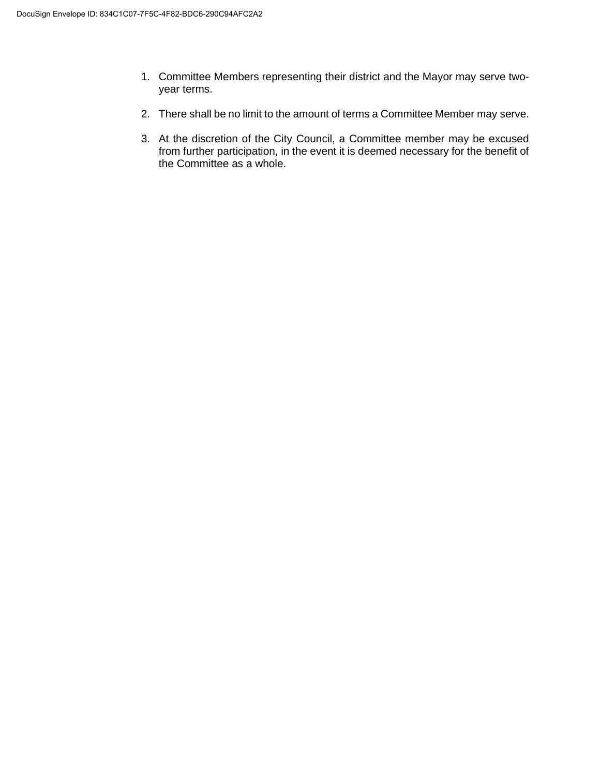- 1. Committee Members representing their district and the Mayor may serve twoyear terms.
- 2. There shall be no limit to the amount of terms a Committee Member may serve.
- 3. At the discretion of the City Council, a Committee member may be excused from further participation, in the event it is deemed necessary for the benefit of the Committee as a whole.